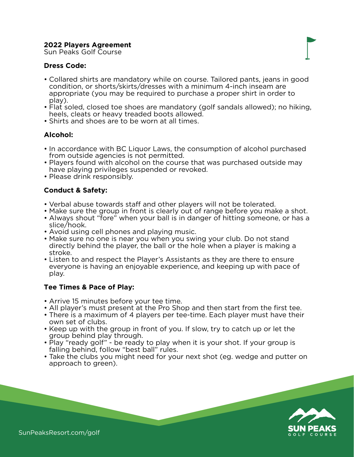## **2022 Players Agreement**

Sun Peaks Golf Course

# **Dress Code:**

- Collared shirts are mandatory while on course. Tailored pants, jeans in good condition, or shorts/skirts/dresses with a minimum 4-inch inseam are appropriate (you may be required to purchase a proper shirt in order to play).
- Flat soled, closed toe shoes are mandatory (golf sandals allowed); no hiking, heels, cleats or heavy treaded boots allowed.
- Shirts and shoes are to be worn at all times.

### **Alcohol:**

- In accordance with BC Liquor Laws, the consumption of alcohol purchased from outside agencies is not permitted.
- Players found with alcohol on the course that was purchased outside may have playing privileges suspended or revoked.
- Please drink responsibly.

# **Conduct & Safety:**

- Verbal abuse towards staff and other players will not be tolerated.
- Make sure the group in front is clearly out of range before you make a shot.
- Always shout "fore" when your ball is in danger of hitting someone, or has a slice/hook.
- Avoid using cell phones and playing music.
- Make sure no one is near you when you swing your club. Do not stand directly behind the player, the ball or the hole when a player is making a stroke.
- Listen to and respect the Player's Assistants as they are there to ensure everyone is having an enjoyable experience, and keeping up with pace of play.

#### **Tee Times & Pace of Play:**

- Arrive 15 minutes before your tee time.
- All player's must present at the Pro Shop and then start from the first tee.
- There is a maximum of 4 players per tee-time. Each player must have their own set of clubs.
- Keep up with the group in front of you. If slow, try to catch up or let the group behind play through.
- Play "ready golf" be ready to play when it is your shot. If your group is falling behind, follow "best ball" rules.
- Take the clubs you might need for your next shot (eg. wedge and putter on approach to green).